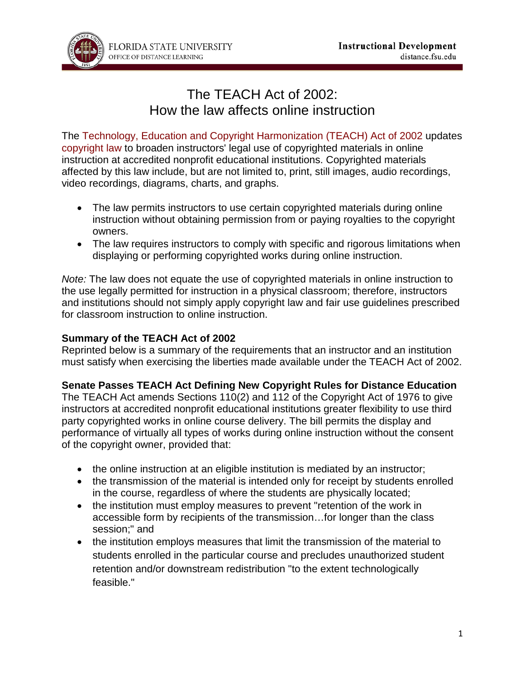

# The TEACH Act of 2002: How the law affects online instruction

The [Technology, Education and Copyright Harmonization \(TEACH\) Act of 2002](http://www.copyright.gov/legislation/pl107-273.html) updates [copyright law](http://www.copyright.gov/title17/) to broaden instructors' legal use of copyrighted materials in online instruction at accredited nonprofit educational institutions. Copyrighted materials affected by this law include, but are not limited to, print, still images, audio recordings, video recordings, diagrams, charts, and graphs.

- The law permits instructors to use certain copyrighted materials during online instruction without obtaining permission from or paying royalties to the copyright owners.
- The law requires instructors to comply with specific and rigorous limitations when displaying or performing copyrighted works during online instruction.

*Note:* The law does not equate the use of copyrighted materials in online instruction to the use legally permitted for instruction in a physical classroom; therefore, instructors and institutions should not simply apply copyright law and fair use guidelines prescribed for classroom instruction to online instruction.

### **Summary of the TEACH Act of 2002**

Reprinted below is a summary of the requirements that an instructor and an institution must satisfy when exercising the liberties made available under the TEACH Act of 2002.

#### **Senate Passes TEACH Act Defining New Copyright Rules for Distance Education**

The TEACH Act amends Sections 110(2) and 112 of the Copyright Act of 1976 to give instructors at accredited nonprofit educational institutions greater flexibility to use third party copyrighted works in online course delivery. The bill permits the display and performance of virtually all types of works during online instruction without the consent of the copyright owner, provided that:

- the online instruction at an eligible institution is mediated by an instructor;
- the transmission of the material is intended only for receipt by students enrolled in the course, regardless of where the students are physically located;
- the institution must employ measures to prevent "retention of the work in accessible form by recipients of the transmission…for longer than the class session;" and
- the institution employs measures that limit the transmission of the material to students enrolled in the particular course and precludes unauthorized student retention and/or downstream redistribution "to the extent technologically feasible."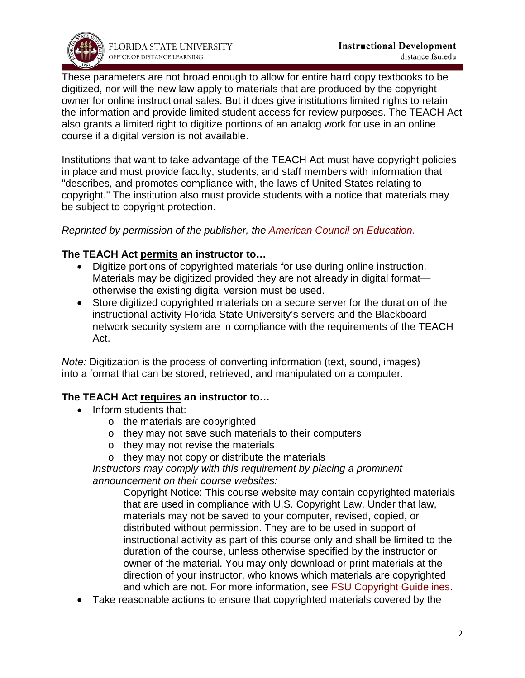

These parameters are not broad enough to allow for entire hard copy textbooks to be digitized, nor will the new law apply to materials that are produced by the copyright owner for online instructional sales. But it does give institutions limited rights to retain the information and provide limited student access for review purposes. The TEACH Act also grants a limited right to digitize portions of an analog work for use in an online course if a digital version is not available.

Institutions that want to take advantage of the TEACH Act must have copyright policies in place and must provide faculty, students, and staff members with information that "describes, and promotes compliance with, the laws of United States relating to copyright." The institution also must provide students with a notice that materials may be subject to copyright protection.

#### *Reprinted by permission of the publisher, the [American Council on Education.](http://www.acenet.edu/pages/default.aspx)*

# **The TEACH Act permits an instructor to…**

- Digitize portions of copyrighted materials for use during online instruction. Materials may be digitized provided they are not already in digital format otherwise the existing digital version must be used.
- Store digitized copyrighted materials on a secure server for the duration of the instructional activity Florida State University's servers and the Blackboard network security system are in compliance with the requirements of the TEACH Act.

*Note:* Digitization is the process of converting information (text, sound, images) into a format that can be stored, retrieved, and manipulated on a computer.

#### **The TEACH Act requires an instructor to…**

- Inform students that:
	- o the materials are copyrighted
	- o they may not save such materials to their computers
	- o they may not revise the materials
	- o they may not copy or distribute the materials

*Instructors may comply with this requirement by placing a prominent announcement on their course websites:*

Copyright Notice: This course website may contain copyrighted materials that are used in compliance with U.S. Copyright Law. Under that law, materials may not be saved to your computer, revised, copied, or distributed without permission. They are to be used in support of instructional activity as part of this course only and shall be limited to the duration of the course, unless otherwise specified by the instructor or owner of the material. You may only download or print materials at the direction of your instructor, who knows which materials are copyrighted and which are not. For more information, see [FSU Copyright Guidelines.](http://igs.fsu.edu/Copyright-Information/Guidelines)

• Take reasonable actions to ensure that copyrighted materials covered by the